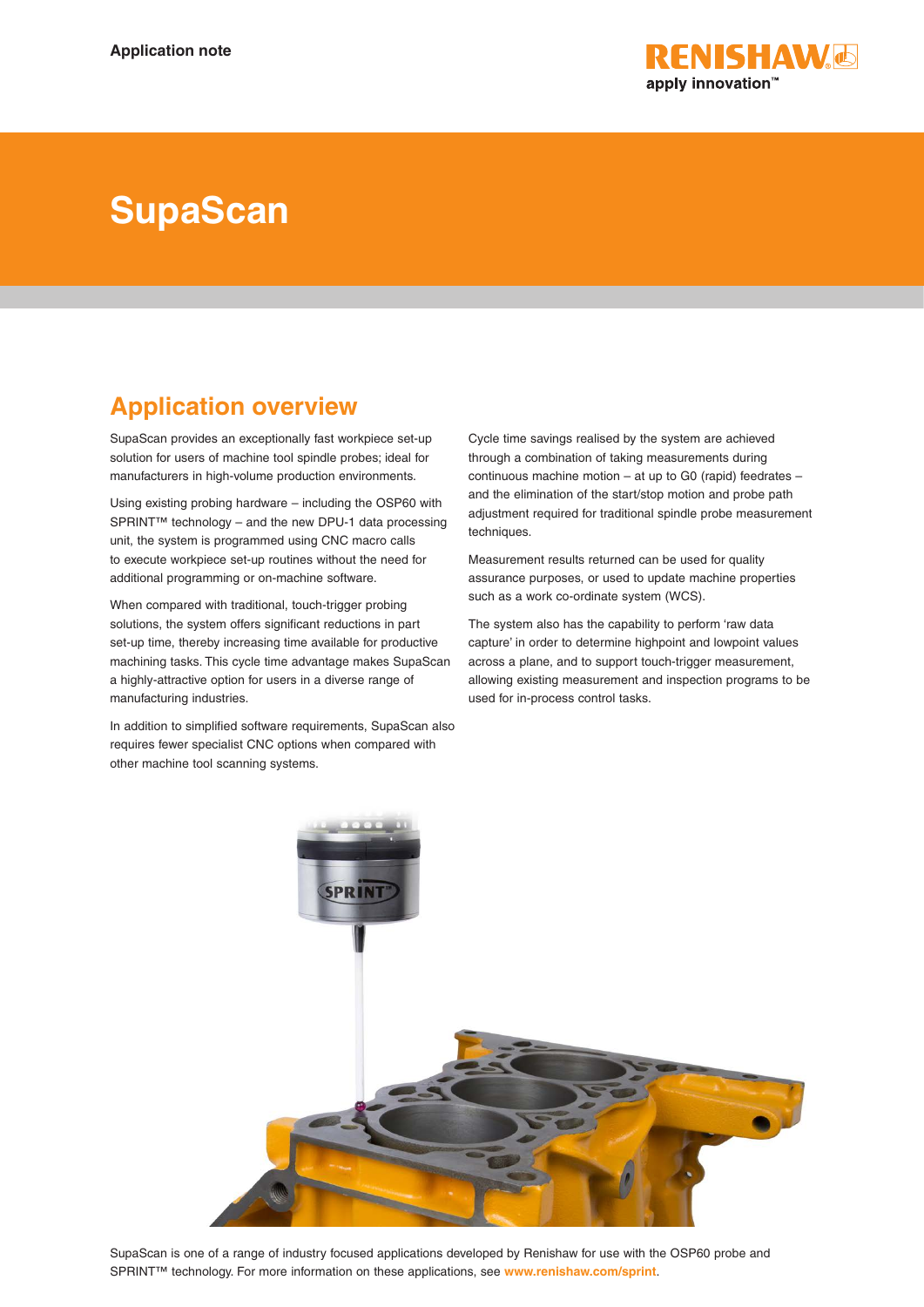

# **SupaScan**

# **Application overview**

SupaScan provides an exceptionally fast workpiece set-up solution for users of machine tool spindle probes; ideal for manufacturers in high-volume production environments.

Using existing probing hardware – including the OSP60 with SPRINT™ technology – and the new DPU-1 data processing unit, the system is programmed using CNC macro calls to execute workpiece set-up routines without the need for additional programming or on-machine software.

When compared with traditional, touch-trigger probing solutions, the system offers significant reductions in part set-up time, thereby increasing time available for productive machining tasks. This cycle time advantage makes SupaScan a highly-attractive option for users in a diverse range of manufacturing industries.

In addition to simplified software requirements, SupaScan also requires fewer specialist CNC options when compared with other machine tool scanning systems.

Cycle time savings realised by the system are achieved through a combination of taking measurements during continuous machine motion – at up to G0 (rapid) feedrates – and the elimination of the start/stop motion and probe path adjustment required for traditional spindle probe measurement techniques.

Measurement results returned can be used for quality assurance purposes, or used to update machine properties such as a work co-ordinate system (WCS).

The system also has the capability to perform 'raw data capture' in order to determine highpoint and lowpoint values across a plane, and to support touch-trigger measurement, allowing existing measurement and inspection programs to be used for in-process control tasks.



SupaScan is one of a range of industry focused applications developed by Renishaw for use with the OSP60 probe and SPRINT™ technology. For more information on these applications, see **www.renishaw.com/sprint**.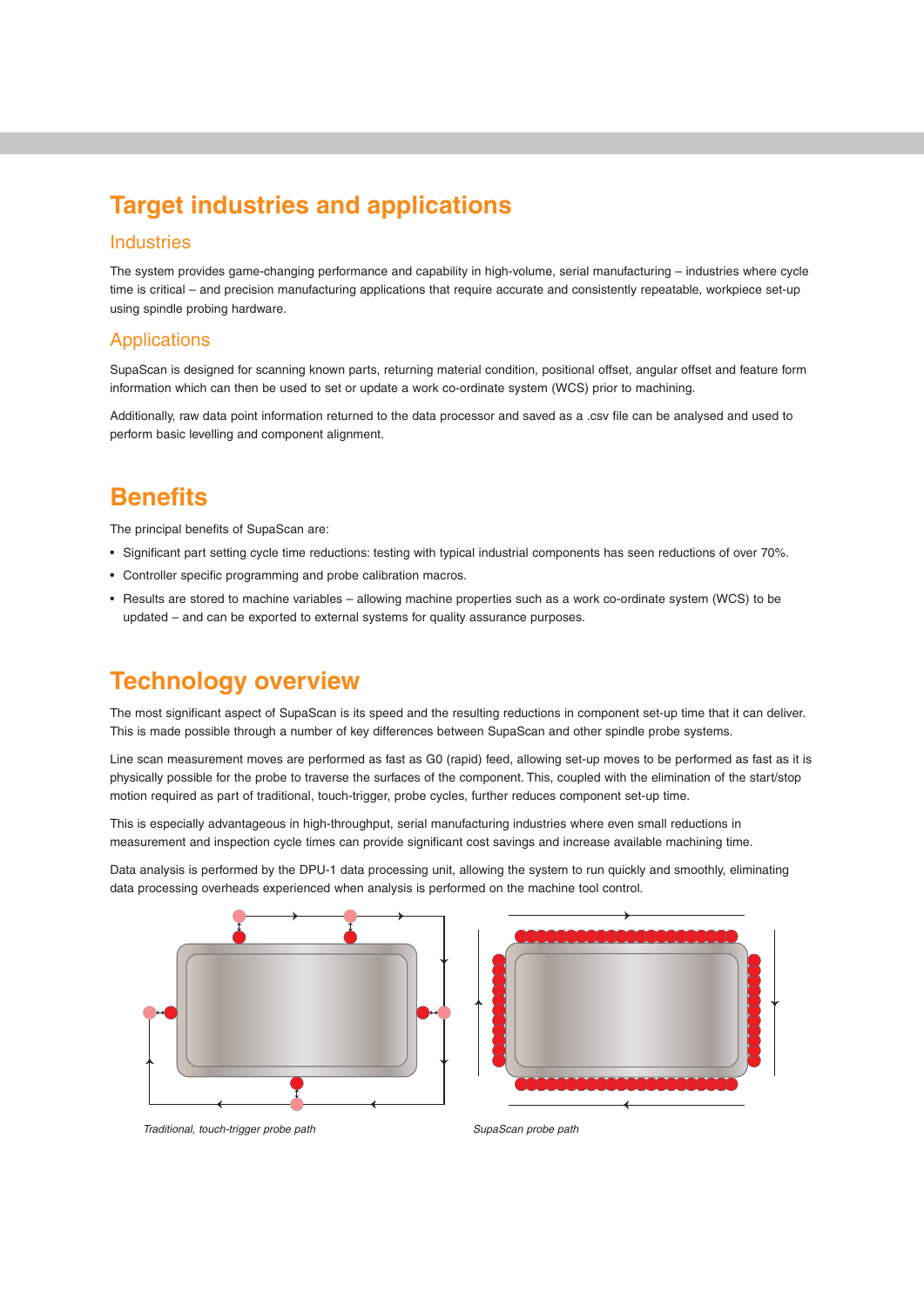# **Target industries and applications**

#### Industries

The system provides game-changing performance and capability in high-volume, serial manufacturing – industries where cycle time is critical – and precision manufacturing applications that require accurate and consistently repeatable, workpiece set-up using spindle probing hardware.

### Applications

SupaScan is designed for scanning known parts, returning material condition, positional offset, angular offset and feature form information which can then be used to set or update a work co-ordinate system (WCS) prior to machining.

Additionally, raw data point information returned to the data processor and saved as a .csv file can be analysed and used to perform basic levelling and component alignment.

## **Benefits**

The principal benefits of SupaScan are:

- Significant part setting cycle time reductions: testing with typical industrial components has seen reductions of over 70%.
- Controller specific programming and probe calibration macros.
- Results are stored to machine variables allowing machine properties such as a work co-ordinate system (WCS) to be updated – and can be exported to external systems for quality assurance purposes.

### **Technology overview**

The most significant aspect of SupaScan is its speed and the resulting reductions in component set-up time that it can deliver. This is made possible through a number of key differences between SupaScan and other spindle probe systems.

Line scan measurement moves are performed as fast as G0 (rapid) feed, allowing set-up moves to be performed as fast as it is physically possible for the probe to traverse the surfaces of the component. This, coupled with the elimination of the start/stop motion required as part of traditional, touch-trigger, probe cycles, further reduces component set-up time.

This is especially advantageous in high-throughput, serial manufacturing industries where even small reductions in measurement and inspection cycle times can provide significant cost savings and increase available machining time.

Data analysis is performed by the DPU-1 data processing unit, allowing the system to run quickly and smoothly, eliminating data processing overheads experienced when analysis is performed on the machine tool control.





*Traditional, touch-trigger probe path SupaScan probe path*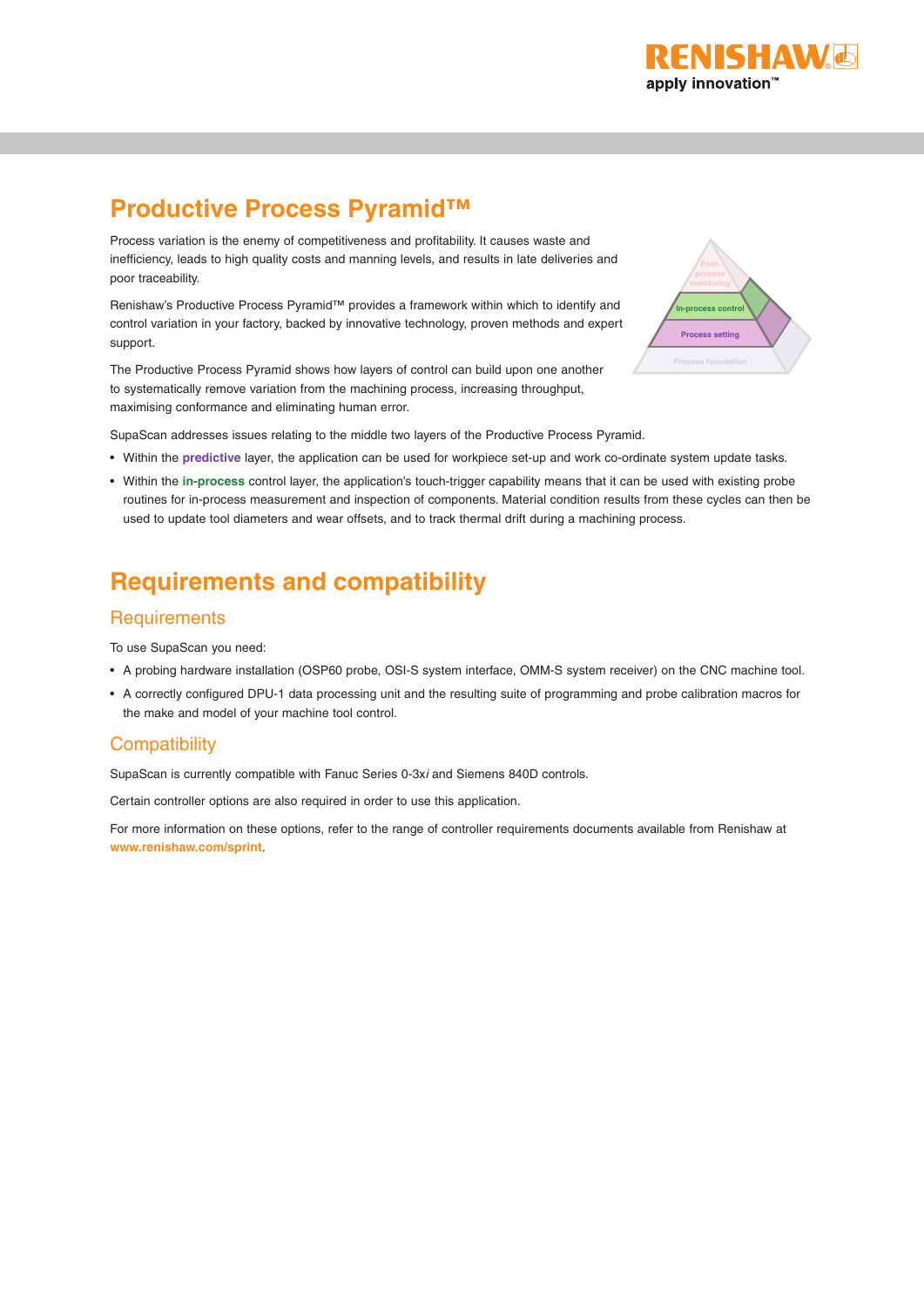

# **Productive Process Pyramid™**

Process variation is the enemy of competitiveness and profitability. It causes waste and inefficiency, leads to high quality costs and manning levels, and results in late deliveries and poor traceability.

Renishaw's Productive Process Pyramid™ provides a framework within which to identify and control variation in your factory, backed by innovative technology, proven methods and expert support.

The Productive Process Pyramid shows how layers of control can build upon one another to systematically remove variation from the machining process, increasing throughput, maximising conformance and eliminating human error.



SupaScan addresses issues relating to the middle two layers of the Productive Process Pyramid.

- Within the **predictive** layer, the application can be used for workpiece set-up and work co-ordinate system update tasks.
- Within the **in-process** control layer, the application's touch-trigger capability means that it can be used with existing probe routines for in-process measurement and inspection of components. Material condition results from these cycles can then be used to update tool diameters and wear offsets, and to track thermal drift during a machining process.

# **Requirements and compatibility**

#### **Requirements**

To use SupaScan you need:

- A probing hardware installation (OSP60 probe, OSI-S system interface, OMM-S system receiver) on the CNC machine tool.
- A correctly configured DPU-1 data processing unit and the resulting suite of programming and probe calibration macros for the make and model of your machine tool control.

### **Compatibility**

SupaScan is currently compatible with Fanuc Series 0-3x*i* and Siemens 840D controls.

Certain controller options are also required in order to use this application.

For more information on these options, refer to the range of controller requirements documents available from Renishaw at **www.renishaw.com/sprint**.